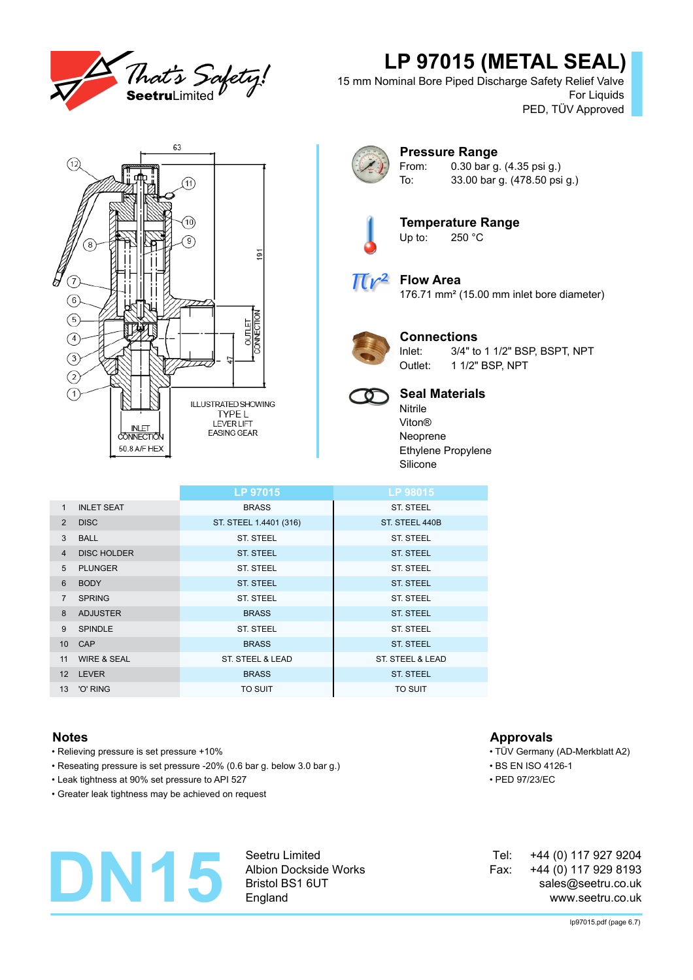

# **LP 97015 (METAL SEAL)**

15 mm Nominal Bore Piped Discharge Safety Relief Valve For Liquids PED, TÜV Approved





### **Pressure Range** From: 0.30 bar g. (4.35 psi g.) To: 33.00 bar g. (478.50 psi g.)



**Temperature Range**<br>Up to: 250 °C  $250 °C$ 



## **Flow Area**

176.71 mm² (15.00 mm inlet bore diameter)



## **Connections**

Inlet: 3/4" to 1 1/2" BSP, BSPT, NPT Outlet: 1 1/2" BSP, NPT



## **Seal Materials**

Nitrile Viton® Neoprene Ethylene Propylene Silicone

|                        | LP 97015               | LP 98015         |
|------------------------|------------------------|------------------|
| <b>INLET SEAT</b>      | <b>BRASS</b>           | <b>ST. STEEL</b> |
| <b>DISC</b>            | ST. STEEL 1.4401 (316) | ST. STEEL 440B   |
| <b>BALL</b>            | <b>ST. STEEL</b>       | <b>ST. STEEL</b> |
| <b>DISC HOLDER</b>     | <b>ST. STEEL</b>       | <b>ST. STEEL</b> |
| <b>PLUNGER</b>         | ST. STEEL              | ST. STEEL        |
| <b>BODY</b>            | <b>ST. STEEL</b>       | <b>ST. STEEL</b> |
| <b>SPRING</b>          | ST. STEEL              | ST. STEEL        |
| <b>ADJUSTER</b>        | <b>BRASS</b>           | <b>ST. STEEL</b> |
| <b>SPINDLE</b>         | <b>ST. STEEL</b>       | <b>ST. STEEL</b> |
|                        | <b>BRASS</b>           | <b>ST. STEEL</b> |
| <b>WIRE &amp; SEAL</b> | ST. STEEL & LEAD       | ST. STEEL & LEAD |
| <b>LEVER</b>           | <b>BRASS</b>           | <b>ST. STEEL</b> |
| 'O' RING               | <b>TO SUIT</b>         | TO SUIT          |
|                        | 10 CAP                 |                  |

- Relieving pressure is set pressure +10% TÜV Germany (AD-Merkblatt A2)
- Reseating pressure is set pressure -20% (0.6 bar g. below 3.0 bar g.) BS EN ISO 4126-1
- Leak tightness at 90% set pressure to API 527 PED 97/23/EC
- Greater leak tightness may be achieved on request

# **DN15**

Seetru Limited Albion Dockside Works Bristol BS1 6UT England

## **Notes Approvals**

- 
- 
- 

+44 (0) 117 927 9204 +44 (0) 117 929 8193 sales@seetru.co.uk www.seetru.co.uk Tel: Fax: